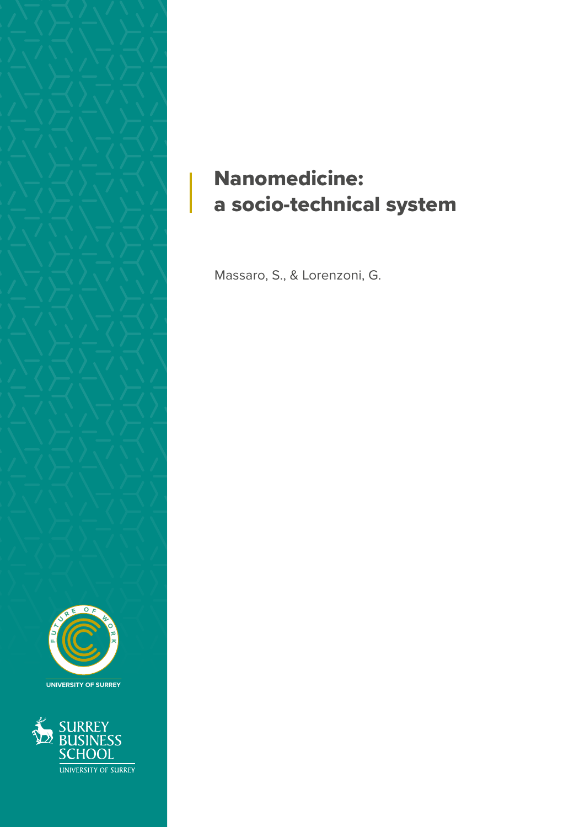

## Nanomedicine: a socio-technical system

Massaro, S., & Lorenzoni, G.